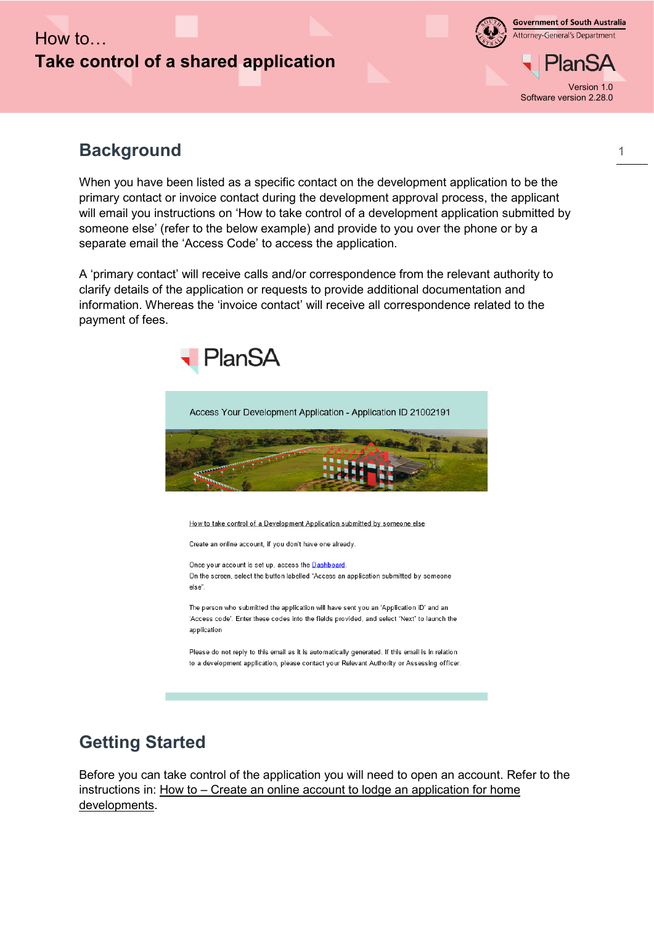## How to… **Take control of a shared application**



**Government of South Australia** Attorney-General's Department

Version 1.0 Software version 2.28.0

## **Background**

When you have been listed as a specific contact on the development application to be the primary contact or invoice contact during the development approval process, the applicant will email you instructions on 'How to take control of a development application submitted by someone else' (refer to the below example) and provide to you over the phone or by a separate email the 'Access Code' to access the application.

A 'primary contact' will receive calls and/or correspondence from the relevant authority to clarify details of the application or requests to provide additional documentation and information. Whereas the 'invoice contact' will receive all correspondence related to the payment of fees.





## **Getting Started**

Before you can take control of the application you will need to open an account. Refer to the instructions in: How to – Create an online account to lodge an application for home developments.